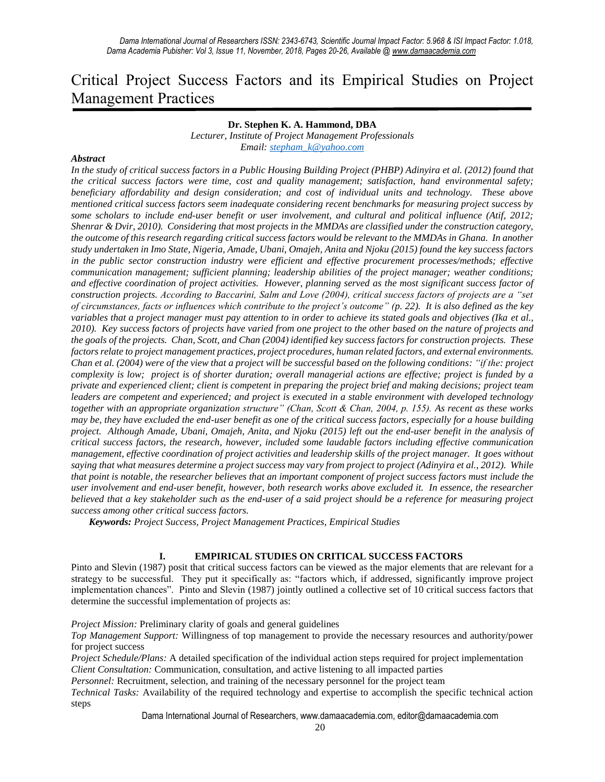# Critical Project Success Factors and its Empirical Studies on Project Management Practices

## **Dr. Stephen K. A. Hammond, DBA**

*Lecturer, Institute of Project Management Professionals Email: [stepham\\_k@yahoo.com](mailto:stepham_k@yahoo.com)*

#### *Abstract*

*In the study of critical success factors in a Public Housing Building Project (PHBP) Adinyira et al. (2012) found that the critical success factors were time, cost and quality management; satisfaction, hand environmental safety; beneficiary affordability and design consideration; and cost of individual units and technology. These above mentioned critical success factors seem inadequate considering recent benchmarks for measuring project success by some scholars to include end-user benefit or user involvement, and cultural and political influence (Atif, 2012; Shenrar & Dvir, 2010). Considering that most projects in the MMDAs are classified under the construction category, the outcome of this research regarding critical success factors would be relevant to the MMDAs in Ghana. In another study undertaken in Imo State, Nigeria, Amade, Ubani, Omajeh, Anita and Njoku (2015) found the key success factors in the public sector construction industry were efficient and effective procurement processes/methods; effective communication management; sufficient planning; leadership abilities of the project manager; weather conditions; and effective coordination of project activities. However, planning served as the most significant success factor of construction projects. According to Baccarini, Salm and Love (2004), critical success factors of projects are a "set of circumstances, facts or influences which contribute to the project's outcome" (p. 22). It is also defined as the key variables that a project manager must pay attention to in order to achieve its stated goals and objectives (Ika et al., 2010). Key success factors of projects have varied from one project to the other based on the nature of projects and the goals of the projects. Chan, Scott, and Chan (2004) identified key success factors for construction projects. These factors relate to project management practices, project procedures, human related factors, and external environments. Chan et al. (2004) were of the view that a project will be successful based on the following conditions: "if the: project complexity is low; project is of shorter duration; overall managerial actions are effective; project is funded by a private and experienced client; client is competent in preparing the project brief and making decisions; project team leaders are competent and experienced; and project is executed in a stable environment with developed technology together with an appropriate organization structure" (Chan, Scott & Chan, 2004, p. 155). As recent as these works may be, they have excluded the end-user benefit as one of the critical success factors, especially for a house building project. Although Amade, Ubani, Omajeh, Anita, and Njoku (2015) left out the end-user benefit in the analysis of critical success factors, the research, however, included some laudable factors including effective communication management, effective coordination of project activities and leadership skills of the project manager. It goes without saying that what measures determine a project success may vary from project to project (Adinyira et al., 2012). While that point is notable, the researcher believes that an important component of project success factors must include the user involvement and end-user benefit, however, both research works above excluded it. In essence, the researcher believed that a key stakeholder such as the end-user of a said project should be a reference for measuring project success among other critical success factors.*

*Keywords: Project Success, Project Management Practices, Empirical Studies*

## **I. EMPIRICAL STUDIES ON CRITICAL SUCCESS FACTORS**

Pinto and Slevin (1987) posit that critical success factors can be viewed as the major elements that are relevant for a strategy to be successful. They put it specifically as: "factors which, if addressed, significantly improve project implementation chances". Pinto and Slevin (1987) jointly outlined a collective set of 10 critical success factors that determine the successful implementation of projects as:

*Project Mission:* Preliminary clarity of goals and general guidelines

*Top Management Support:* Willingness of top management to provide the necessary resources and authority/power for project success

*Project Schedule/Plans:* A detailed specification of the individual action steps required for project implementation *Client Consultation:* Communication, consultation, and active listening to all impacted parties

*Personnel:* Recruitment, selection, and training of the necessary personnel for the project team

*Technical Tasks:* Availability of the required technology and expertise to accomplish the specific technical action steps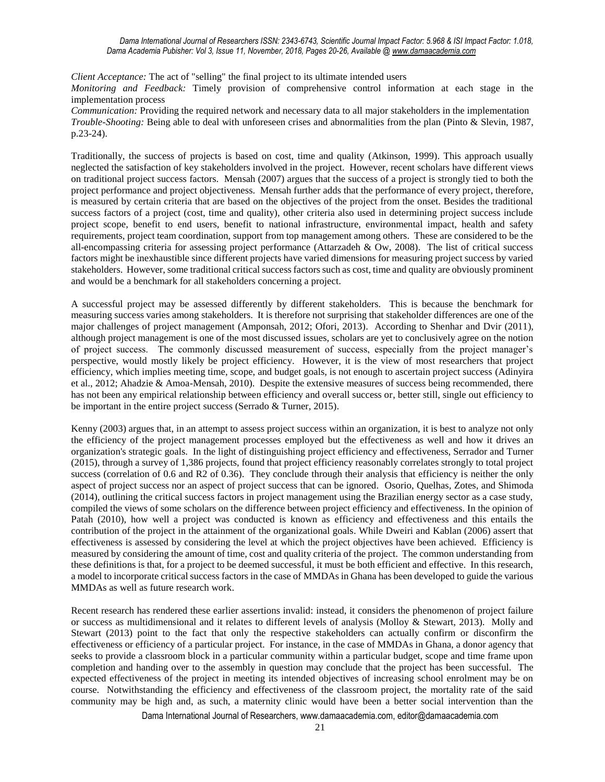*Client Acceptance:* The act of "selling" the final project to its ultimate intended users

*Monitoring and Feedback:* Timely provision of comprehensive control information at each stage in the implementation process

*Communication:* Providing the required network and necessary data to all major stakeholders in the implementation *Trouble-Shooting:* Being able to deal with unforeseen crises and abnormalities from the plan (Pinto & Slevin, 1987, p.23-24).

Traditionally, the success of projects is based on cost, time and quality (Atkinson, 1999). This approach usually neglected the satisfaction of key stakeholders involved in the project. However, recent scholars have different views on traditional project success factors. Mensah (2007) argues that the success of a project is strongly tied to both the project performance and project objectiveness. Mensah further adds that the performance of every project, therefore, is measured by certain criteria that are based on the objectives of the project from the onset. Besides the traditional success factors of a project (cost, time and quality), other criteria also used in determining project success include project scope, benefit to end users, benefit to national infrastructure, environmental impact, health and safety requirements, project team coordination, support from top management among others. These are considered to be the all-encompassing criteria for assessing project performance (Attarzadeh & Ow, 2008). The list of critical success factors might be inexhaustible since different projects have varied dimensions for measuring project success by varied stakeholders. However, some traditional critical success factors such as cost, time and quality are obviously prominent and would be a benchmark for all stakeholders concerning a project.

A successful project may be assessed differently by different stakeholders. This is because the benchmark for measuring success varies among stakeholders. It is therefore not surprising that stakeholder differences are one of the major challenges of project management (Amponsah, 2012; Ofori, 2013). According to Shenhar and Dvir (2011), although project management is one of the most discussed issues, scholars are yet to conclusively agree on the notion of project success. The commonly discussed measurement of success, especially from the project manager's perspective, would mostly likely be project efficiency. However, it is the view of most researchers that project efficiency, which implies meeting time, scope, and budget goals, is not enough to ascertain project success (Adinyira et al., 2012; Ahadzie & Amoa-Mensah, 2010). Despite the extensive measures of success being recommended, there has not been any empirical relationship between efficiency and overall success or, better still, single out efficiency to be important in the entire project success (Serrado & Turner, 2015).

Kenny (2003) argues that, in an attempt to assess project success within an organization, it is best to analyze not only the efficiency of the project management processes employed but the effectiveness as well and how it drives an organization's strategic goals. In the light of distinguishing project efficiency and effectiveness, Serrador and Turner (2015), through a survey of 1,386 projects, found that project efficiency reasonably correlates strongly to total project success (correlation of 0.6 and R2 of 0.36). They conclude through their analysis that efficiency is neither the only aspect of project success nor an aspect of project success that can be ignored. Osorio, Quelhas, Zotes, and Shimoda (2014), outlining the critical success factors in project management using the Brazilian energy sector as a case study, compiled the views of some scholars on the difference between project efficiency and effectiveness. In the opinion of Patah (2010), how well a project was conducted is known as efficiency and effectiveness and this entails the contribution of the project in the attainment of the organizational goals. While Dweiri and Kablan (2006) assert that effectiveness is assessed by considering the level at which the project objectives have been achieved. Efficiency is measured by considering the amount of time, cost and quality criteria of the project. The common understanding from these definitions is that, for a project to be deemed successful, it must be both efficient and effective. In this research, a model to incorporate critical success factors in the case of MMDAs in Ghana has been developed to guide the various MMDAs as well as future research work.

Recent research has rendered these earlier assertions invalid: instead, it considers the phenomenon of project failure or success as multidimensional and it relates to different levels of analysis (Molloy & Stewart, 2013). Molly and Stewart (2013) point to the fact that only the respective stakeholders can actually confirm or disconfirm the effectiveness or efficiency of a particular project. For instance, in the case of MMDAs in Ghana, a donor agency that seeks to provide a classroom block in a particular community within a particular budget, scope and time frame upon completion and handing over to the assembly in question may conclude that the project has been successful. The expected effectiveness of the project in meeting its intended objectives of increasing school enrolment may be on course. Notwithstanding the efficiency and effectiveness of the classroom project, the mortality rate of the said community may be high and, as such, a maternity clinic would have been a better social intervention than the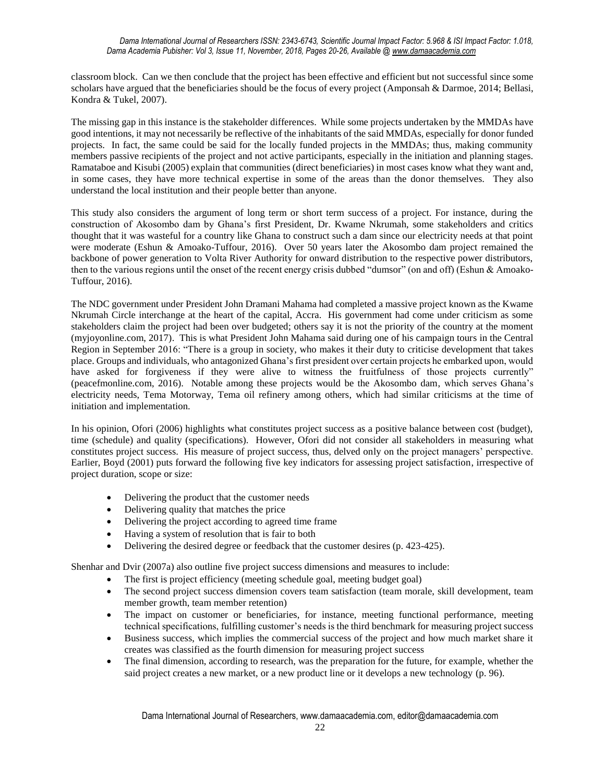classroom block. Can we then conclude that the project has been effective and efficient but not successful since some scholars have argued that the beneficiaries should be the focus of every project (Amponsah & Darmoe, 2014; Bellasi, Kondra & Tukel, 2007).

The missing gap in this instance is the stakeholder differences. While some projects undertaken by the MMDAs have good intentions, it may not necessarily be reflective of the inhabitants of the said MMDAs, especially for donor funded projects. In fact, the same could be said for the locally funded projects in the MMDAs; thus, making community members passive recipients of the project and not active participants, especially in the initiation and planning stages. Ramataboe and Kisubi (2005) explain that communities (direct beneficiaries) in most cases know what they want and, in some cases, they have more technical expertise in some of the areas than the donor themselves. They also understand the local institution and their people better than anyone.

This study also considers the argument of long term or short term success of a project. For instance, during the construction of Akosombo dam by Ghana's first President, Dr. Kwame Nkrumah, some stakeholders and critics thought that it was wasteful for a country like Ghana to construct such a dam since our electricity needs at that point were moderate (Eshun & Amoako-Tuffour, 2016). Over 50 years later the Akosombo dam project remained the backbone of power generation to Volta River Authority for onward distribution to the respective power distributors, then to the various regions until the onset of the recent energy crisis dubbed "dumsor" (on and off) (Eshun & Amoako-Tuffour, 2016).

The NDC government under President John Dramani Mahama had completed a massive project known as the Kwame Nkrumah Circle interchange at the heart of the capital, Accra. His government had come under criticism as some stakeholders claim the project had been over budgeted; others say it is not the priority of the country at the moment (myjoyonline.com, 2017). This is what President John Mahama said during one of his campaign tours in the Central Region in September 2016: "There is a group in society, who makes it their duty to criticise development that takes place. Groups and individuals, who antagonized Ghana's first president over certain projects he embarked upon, would have asked for forgiveness if they were alive to witness the fruitfulness of those projects currently" (peacefmonline.com, 2016). Notable among these projects would be the Akosombo dam, which serves Ghana's electricity needs, Tema Motorway, Tema oil refinery among others, which had similar criticisms at the time of initiation and implementation.

In his opinion, Ofori (2006) highlights what constitutes project success as a positive balance between cost (budget), time (schedule) and quality (specifications). However, Ofori did not consider all stakeholders in measuring what constitutes project success. His measure of project success, thus, delved only on the project managers' perspective. Earlier, Boyd (2001) puts forward the following five key indicators for assessing project satisfaction, irrespective of project duration, scope or size:

- Delivering the product that the customer needs
- Delivering quality that matches the price
- Delivering the project according to agreed time frame
- Having a system of resolution that is fair to both
- Delivering the desired degree or feedback that the customer desires (p. 423-425).

Shenhar and Dvir (2007a) also outline five project success dimensions and measures to include:

- The first is project efficiency (meeting schedule goal, meeting budget goal)
- The second project success dimension covers team satisfaction (team morale, skill development, team member growth, team member retention)
- The impact on customer or beneficiaries, for instance, meeting functional performance, meeting technical specifications, fulfilling customer's needs is the third benchmark for measuring project success
- Business success, which implies the commercial success of the project and how much market share it creates was classified as the fourth dimension for measuring project success
- The final dimension, according to research, was the preparation for the future, for example, whether the said project creates a new market, or a new product line or it develops a new technology (p. 96).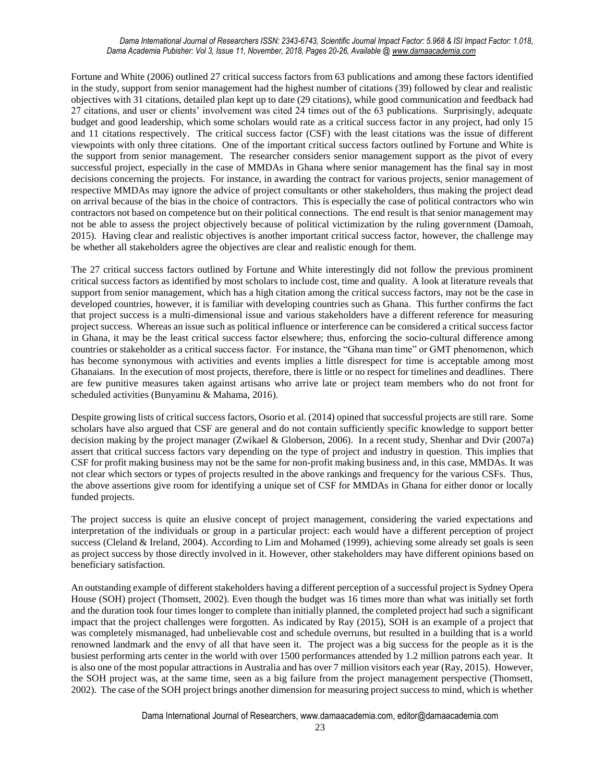#### *Dama International Journal of Researchers ISSN: 2343-6743, Scientific Journal Impact Factor: 5.968 & ISI Impact Factor: 1.018, Dama Academia Pubisher: Vol 3, Issue 11, November, 2018, Pages 20-26, Available [@ www.damaacademia.com](http://www.damaacademia.com/)*

Fortune and White (2006) outlined 27 critical success factors from 63 publications and among these factors identified in the study, support from senior management had the highest number of citations (39) followed by clear and realistic objectives with 31 citations, detailed plan kept up to date (29 citations), while good communication and feedback had 27 citations, and user or clients' involvement was cited 24 times out of the 63 publications. Surprisingly, adequate budget and good leadership, which some scholars would rate as a critical success factor in any project, had only 15 and 11 citations respectively. The critical success factor (CSF) with the least citations was the issue of different viewpoints with only three citations. One of the important critical success factors outlined by Fortune and White is the support from senior management. The researcher considers senior management support as the pivot of every successful project, especially in the case of MMDAs in Ghana where senior management has the final say in most decisions concerning the projects. For instance, in awarding the contract for various projects, senior management of respective MMDAs may ignore the advice of project consultants or other stakeholders, thus making the project dead on arrival because of the bias in the choice of contractors. This is especially the case of political contractors who win contractors not based on competence but on their political connections. The end result is that senior management may not be able to assess the project objectively because of political victimization by the ruling government (Damoah, 2015). Having clear and realistic objectives is another important critical success factor, however, the challenge may be whether all stakeholders agree the objectives are clear and realistic enough for them.

The 27 critical success factors outlined by Fortune and White interestingly did not follow the previous prominent critical success factors as identified by most scholars to include cost, time and quality. A look at literature reveals that support from senior management, which has a high citation among the critical success factors, may not be the case in developed countries, however, it is familiar with developing countries such as Ghana. This further confirms the fact that project success is a multi-dimensional issue and various stakeholders have a different reference for measuring project success. Whereas an issue such as political influence or interference can be considered a critical success factor in Ghana, it may be the least critical success factor elsewhere; thus, enforcing the socio-cultural difference among countries or stakeholder as a critical success factor. For instance, the "Ghana man time" or GMT phenomenon, which has become synonymous with activities and events implies a little disrespect for time is acceptable among most Ghanaians. In the execution of most projects, therefore, there is little or no respect for timelines and deadlines. There are few punitive measures taken against artisans who arrive late or project team members who do not front for scheduled activities (Bunyaminu & Mahama, 2016).

Despite growing lists of critical success factors, Osorio et al. (2014) opined that successful projects are still rare. Some scholars have also argued that CSF are general and do not contain sufficiently specific knowledge to support better decision making by the project manager (Zwikael & Globerson, 2006). In a recent study, Shenhar and Dvir (2007a) assert that critical success factors vary depending on the type of project and industry in question. This implies that CSF for profit making business may not be the same for non-profit making business and, in this case, MMDAs. It was not clear which sectors or types of projects resulted in the above rankings and frequency for the various CSFs. Thus, the above assertions give room for identifying a unique set of CSF for MMDAs in Ghana for either donor or locally funded projects.

The project success is quite an elusive concept of project management, considering the varied expectations and interpretation of the individuals or group in a particular project: each would have a different perception of project success (Cleland & Ireland, 2004). According to Lim and Mohamed (1999), achieving some already set goals is seen as project success by those directly involved in it. However, other stakeholders may have different opinions based on beneficiary satisfaction.

An outstanding example of different stakeholders having a different perception of a successful project is Sydney Opera House (SOH) project (Thomsett, 2002). Even though the budget was 16 times more than what was initially set forth and the duration took four times longer to complete than initially planned, the completed project had such a significant impact that the project challenges were forgotten. As indicated by Ray (2015), SOH is an example of a project that was completely mismanaged, had unbelievable cost and schedule overruns, but resulted in a building that is a world renowned landmark and the envy of all that have seen it. The project was a big success for the people as it is the busiest performing arts center in the world with over 1500 performances attended by 1.2 million patrons each year. It is also one of the most popular attractions in Australia and has over 7 million visitors each year (Ray, 2015). However, the SOH project was, at the same time, seen as a big failure from the project management perspective (Thomsett, 2002). The case of the SOH project brings another dimension for measuring project success to mind, which is whether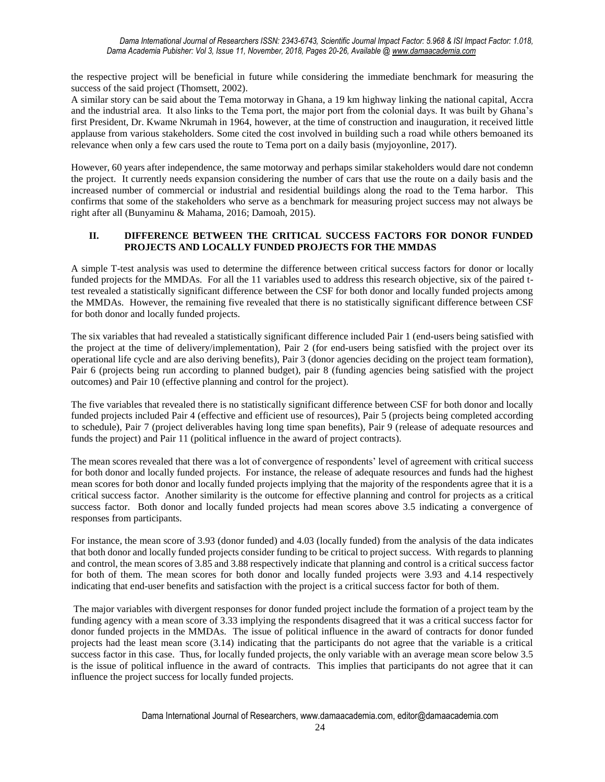the respective project will be beneficial in future while considering the immediate benchmark for measuring the success of the said project (Thomsett, 2002).

A similar story can be said about the Tema motorway in Ghana, a 19 km highway linking the national capital, Accra and the industrial area. It also links to the Tema port, the major port from the colonial days. It was built by Ghana's first President, Dr. Kwame Nkrumah in 1964, however, at the time of construction and inauguration, it received little applause from various stakeholders. Some cited the cost involved in building such a road while others bemoaned its relevance when only a few cars used the route to Tema port on a daily basis (myjoyonline, 2017).

However, 60 years after independence, the same motorway and perhaps similar stakeholders would dare not condemn the project. It currently needs expansion considering the number of cars that use the route on a daily basis and the increased number of commercial or industrial and residential buildings along the road to the Tema harbor. This confirms that some of the stakeholders who serve as a benchmark for measuring project success may not always be right after all (Bunyaminu & Mahama, 2016; Damoah, 2015).

## **II. DIFFERENCE BETWEEN THE CRITICAL SUCCESS FACTORS FOR DONOR FUNDED PROJECTS AND LOCALLY FUNDED PROJECTS FOR THE MMDAS**

A simple T-test analysis was used to determine the difference between critical success factors for donor or locally funded projects for the MMDAs. For all the 11 variables used to address this research objective, six of the paired ttest revealed a statistically significant difference between the CSF for both donor and locally funded projects among the MMDAs. However, the remaining five revealed that there is no statistically significant difference between CSF for both donor and locally funded projects.

The six variables that had revealed a statistically significant difference included Pair 1 (end-users being satisfied with the project at the time of delivery/implementation), Pair 2 (for end-users being satisfied with the project over its operational life cycle and are also deriving benefits), Pair 3 (donor agencies deciding on the project team formation), Pair 6 (projects being run according to planned budget), pair 8 (funding agencies being satisfied with the project outcomes) and Pair 10 (effective planning and control for the project).

The five variables that revealed there is no statistically significant difference between CSF for both donor and locally funded projects included Pair 4 (effective and efficient use of resources), Pair 5 (projects being completed according to schedule), Pair 7 (project deliverables having long time span benefits), Pair 9 (release of adequate resources and funds the project) and Pair 11 (political influence in the award of project contracts).

The mean scores revealed that there was a lot of convergence of respondents' level of agreement with critical success for both donor and locally funded projects. For instance, the release of adequate resources and funds had the highest mean scores for both donor and locally funded projects implying that the majority of the respondents agree that it is a critical success factor. Another similarity is the outcome for effective planning and control for projects as a critical success factor. Both donor and locally funded projects had mean scores above 3.5 indicating a convergence of responses from participants.

For instance, the mean score of 3.93 (donor funded) and 4.03 (locally funded) from the analysis of the data indicates that both donor and locally funded projects consider funding to be critical to project success. With regards to planning and control, the mean scores of 3.85 and 3.88 respectively indicate that planning and control is a critical success factor for both of them. The mean scores for both donor and locally funded projects were 3.93 and 4.14 respectively indicating that end-user benefits and satisfaction with the project is a critical success factor for both of them.

The major variables with divergent responses for donor funded project include the formation of a project team by the funding agency with a mean score of 3.33 implying the respondents disagreed that it was a critical success factor for donor funded projects in the MMDAs. The issue of political influence in the award of contracts for donor funded projects had the least mean score (3.14) indicating that the participants do not agree that the variable is a critical success factor in this case. Thus, for locally funded projects, the only variable with an average mean score below 3.5 is the issue of political influence in the award of contracts. This implies that participants do not agree that it can influence the project success for locally funded projects.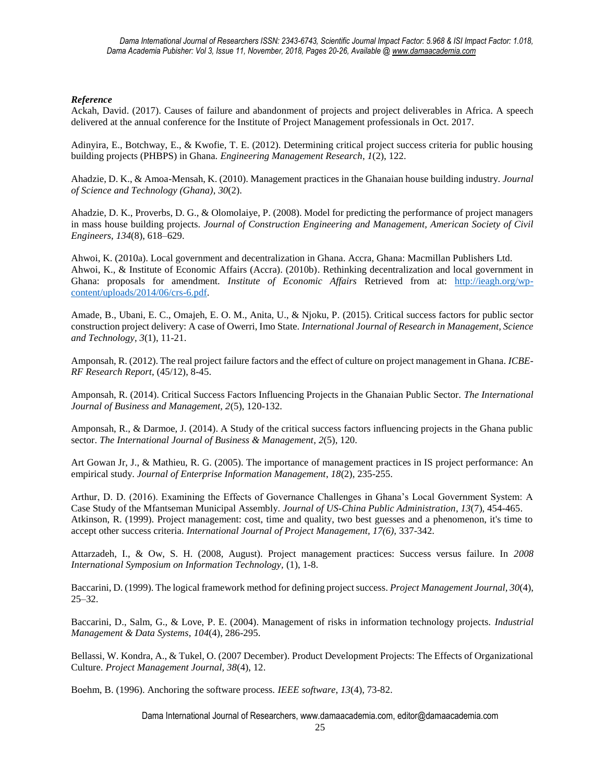## *Reference*

Ackah, David. (2017). Causes of failure and abandonment of projects and project deliverables in Africa. A speech delivered at the annual conference for the Institute of Project Management professionals in Oct. 2017.

Adinyira, E., Botchway, E., & Kwofie, T. E. (2012). Determining critical project success criteria for public housing building projects (PHBPS) in Ghana. *Engineering Management Research*, *1*(2), 122.

Ahadzie, D. K., & Amoa-Mensah, K. (2010). Management practices in the Ghanaian house building industry. *Journal of Science and Technology (Ghana)*, *30*(2).

Ahadzie, D. K., Proverbs, D. G., & Olomolaiye, P. (2008). Model for predicting the performance of project managers in mass house building projects. *Journal of Construction Engineering and Management, American Society of Civil Engineers*, *134*(8), 618–629.

Ahwoi, K. (2010a). Local government and decentralization in Ghana. Accra, Ghana: Macmillan Publishers Ltd. Ahwoi, K., & Institute of Economic Affairs (Accra). (2010b). Rethinking decentralization and local government in Ghana: proposals for amendment. *Institute of Economic Affairs* Retrieved from at: [http://ieagh.org/wp](http://ieagh.org/wp-content/uploads/2014/06/crs-6.pdf)[content/uploads/2014/06/crs-6.pdf.](http://ieagh.org/wp-content/uploads/2014/06/crs-6.pdf)

Amade, B., Ubani, E. C., Omajeh, E. O. M., Anita, U., & Njoku, P. (2015). Critical success factors for public sector construction project delivery: A case of Owerri, Imo State. *International Journal of Research in Management, Science and Technology*, *3*(1), 11-21.

Amponsah, R. (2012). The real project failure factors and the effect of culture on project management in Ghana. *ICBE-RF Research Report*, (45/12), 8-45.

Amponsah, R. (2014). Critical Success Factors Influencing Projects in the Ghanaian Public Sector. *The International Journal of Business and Management, 2*(5), 120-132.

Amponsah, R., & Darmoe, J. (2014). A Study of the critical success factors influencing projects in the Ghana public sector. *The International Journal of Business & Management*, *2*(5), 120.

Art Gowan Jr, J., & Mathieu, R. G. (2005). The importance of management practices in IS project performance: An empirical study. *Journal of Enterprise Information Management*, *18*(2), 235-255.

Arthur, D. D. (2016). Examining the Effects of Governance Challenges in Ghana's Local Government System: A Case Study of the Mfantseman Municipal Assembly. *Journal of US-China Public Administration*, *13*(7), 454-465. Atkinson, R. (1999). Project management: cost, time and quality, two best guesses and a phenomenon, it's time to accept other success criteria. *International Journal of Project Management, 17(6),* 337-342.

Attarzadeh, I., & Ow, S. H. (2008, August). Project management practices: Success versus failure. In *2008 International Symposium on Information Technology,* (1), 1-8.

Baccarini, D. (1999). The logical framework method for defining project success. *Project Management Journal, 30*(4), 25–32.

Baccarini, D., Salm, G., & Love, P. E. (2004). Management of risks in information technology projects. *Industrial Management & Data Systems*, *104*(4), 286-295.

Bellassi, W. Kondra, A., & Tukel, O. (2007 December). Product Development Projects: The Effects of Organizational Culture. *Project Management Journal, 38*(4), 12.

Boehm, B. (1996). Anchoring the software process. *IEEE software*, *13*(4), 73-82.